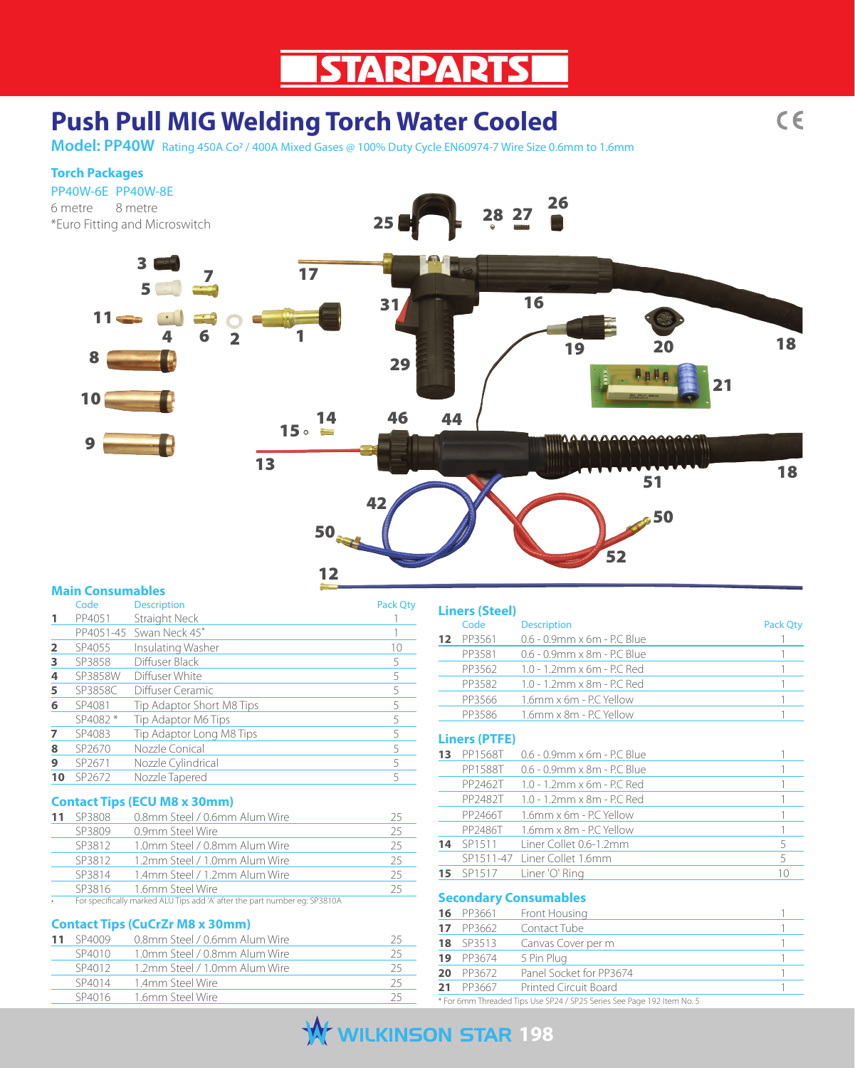# **Push Pull MIG Welding Torch Water Cooled**

**Model: PP40W** Rating 450A Co2 / 400A Mixed Gases @ 100% Duty Cycle EN60974-7 Wire Size 0.6mm to 1.6mm

#### **Torch Packages**

#### PP40W-6E PP40W-8E

6 metre 8 metre \*Euro Fitting and Microswitch



## **Main Consumables**

|    | Code    | <b>Description</b>        | <b>Pack Qty</b> |
|----|---------|---------------------------|-----------------|
|    | PP4051  | Straight Neck             |                 |
|    |         | PP4051-45 Swan Neck 45°   |                 |
|    | SP4055  | Insulating Washer         | 10              |
| 3  | SP3858  | Diffuser Black            |                 |
| 4  | SP3858W | Diffuser White            | 5               |
| 5  | SP3858C | Diffuser Ceramic          |                 |
| 6  | SP4081  | Tip Adaptor Short M8 Tips |                 |
|    | SP4082* | Tip Adaptor M6 Tips       | 5               |
|    | SP4083  | Tip Adaptor Long M8 Tips  |                 |
| 8  | SP2670  | Nozzle Conical            | 5               |
| 9  | SP2671  | Nozzle Cylindrical        | 5               |
| 10 | SP2672  | Nozzle Tapered            |                 |

#### **Contact Tips (ECU M8 x 30mm)**

| 11 | SP3808                                                                     | 25                            |    |
|----|----------------------------------------------------------------------------|-------------------------------|----|
|    | SP3809                                                                     | 0.9mm Steel Wire              | 25 |
|    | SP3812                                                                     | 1.0mm Steel / 0.8mm Alum Wire | 25 |
|    | SP3812                                                                     | 1.2mm Steel / 1.0mm Alum Wire | 25 |
|    | SP3814                                                                     | 1.4mm Steel / 1.2mm Alum Wire | 25 |
|    | SP3816                                                                     | 1.6mm Steel Wire              | 25 |
|    | For specifically marked ALU Tips add 'A' after the part number eg: SP3810A |                               |    |

### **Contact Tips (CuCrZr M8 x 30mm)**

| SP4009 | 0.8mm Steel / 0.6mm Alum Wire |    |
|--------|-------------------------------|----|
| SP4010 | 1.0mm Steel / 0.8mm Alum Wire |    |
| SP4012 | 1.2mm Steel / 1.0mm Alum Wire | 25 |
| SP4014 | 1.4mm Steel Wire              | 25 |
| SP4016 | 1.6mm Steel Wire              |    |

|          | <b>Liners (Steel)</b> |                                       |          |
|----------|-----------------------|---------------------------------------|----------|
|          | Code                  | <b>Description</b>                    | Pack Qty |
| 12       | PP3561                | 0.6 - 0.9mm x 6m - P.C Blue           | 1        |
|          | PP3581                | 0.6 - 0.9mm x 8m - P.C. Blue          | 1        |
|          | PP3562                | 1.0 - 1.2mm x 6m - P.C Red            | 1        |
|          | PP3582                | 1.0 - 1.2mm x 8m - P.C Red            | 1        |
|          | PP3566                | 1.6mm x 6m - P.C Yellow               | 1        |
|          | PP3586                | 1.6mm x 8m - P.C Yellow               | 1        |
|          | <b>Liners (PTFE)</b>  |                                       |          |
| 13       | PP1568T               | 0.6 - 0.9mm x 6m - P.C Blue           |          |
|          | PP1588T               | 0.6 - 0.9mm x 8m - P.C. Blue          | 1        |
|          | PP2462T               | 1.0 - 1.2mm x 6m - P.C Red            | 1        |
|          | PP2482T               | 1.0 - 1.2mm x 8m - P.C. Red           | 1        |
|          | PP2466T               | 1.6mm x 6m - P.C Yellow               | 1        |
|          | PP2486T               | 1.6mm x 8m - P.C. Yellow              | 1        |
| 14       | SP1511                | Liner Collet 0.6-1.2mm                | 5        |
|          | SP1511-47             | Liner Collet 1.6mm                    | 5        |
| 15       | SP1517                | Liner 'O' Ring                        | 10       |
|          |                       |                                       |          |
| 16       | PP3661                | <b>Secondary Consumables</b>          | 1        |
|          |                       | Front Housing                         |          |
| 17       | PP3662                | Contact Tube                          | 1<br>1   |
| 18       | SP3513                | Canvas Cover per m                    |          |
| 19<br>20 | PP3674                | 5 Pin Plua<br>Panel Socket for PP3674 |          |
| 21       | PP3672<br>PP3667      | <b>Printed Circuit Board</b>          | 1<br>1   |
|          |                       |                                       |          |

\* For 6mm Threaded Tips Use SP24 / SP25 Series See Page 192 Item No. 5